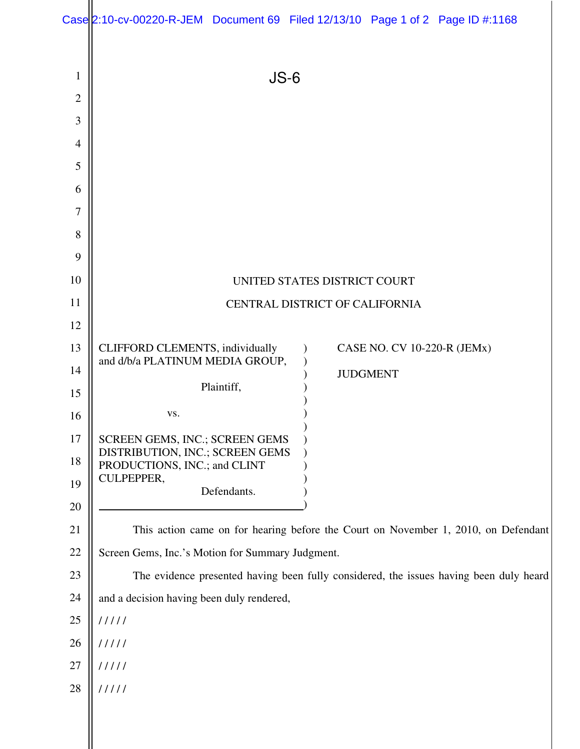|                | Case 2:10-cv-00220-R-JEM Document 69 Filed 12/13/10 Page 1 of 2 Page ID #:1168         |  |  |  |  |
|----------------|----------------------------------------------------------------------------------------|--|--|--|--|
| $\mathbf{1}$   | $JS-6$                                                                                 |  |  |  |  |
| $\overline{2}$ |                                                                                        |  |  |  |  |
| 3              |                                                                                        |  |  |  |  |
| $\overline{4}$ |                                                                                        |  |  |  |  |
| 5              |                                                                                        |  |  |  |  |
| 6              |                                                                                        |  |  |  |  |
| 7              |                                                                                        |  |  |  |  |
| 8              |                                                                                        |  |  |  |  |
| 9<br>10        |                                                                                        |  |  |  |  |
| 11             | UNITED STATES DISTRICT COURT                                                           |  |  |  |  |
| 12             | CENTRAL DISTRICT OF CALIFORNIA                                                         |  |  |  |  |
| 13             | CLIFFORD CLEMENTS, individually<br><b>CASE NO. CV 10-220-R (JEMx)</b>                  |  |  |  |  |
| 14             | and d/b/a PLATINUM MEDIA GROUP,<br><b>JUDGMENT</b>                                     |  |  |  |  |
| 15             | Plaintiff,                                                                             |  |  |  |  |
| 16             | VS.                                                                                    |  |  |  |  |
| 17             | <b>SCREEN GEMS, INC.; SCREEN GEMS</b>                                                  |  |  |  |  |
| 18             | DISTRIBUTION, INC.; SCREEN GEMS<br>PRODUCTIONS, INC.; and CLINT                        |  |  |  |  |
| 19             | CULPEPPER,<br>Defendants.                                                              |  |  |  |  |
| 20             |                                                                                        |  |  |  |  |
| 21             | This action came on for hearing before the Court on November 1, 2010, on Defendant     |  |  |  |  |
| 22             | Screen Gems, Inc.'s Motion for Summary Judgment.                                       |  |  |  |  |
| 23             | The evidence presented having been fully considered, the issues having been duly heard |  |  |  |  |
| 24             | and a decision having been duly rendered,                                              |  |  |  |  |
| 25             | 11111                                                                                  |  |  |  |  |
| 26             | 11111                                                                                  |  |  |  |  |
| 27             | 11111                                                                                  |  |  |  |  |
| 28             | 11111                                                                                  |  |  |  |  |
|                |                                                                                        |  |  |  |  |
|                |                                                                                        |  |  |  |  |